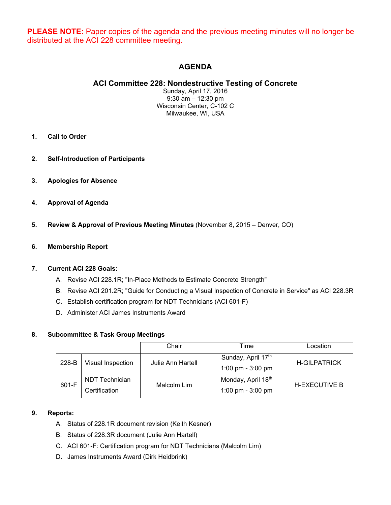**PLEASE NOTE:** Paper copies of the agenda and the previous meeting minutes will no longer be distributed at the ACI 228 committee meeting.

# **AGENDA**

## **ACI Committee 228: Nondestructive Testing of Concrete**

Sunday, April 17, 2016 9:30 am – 12:30 pm Wisconsin Center, C-102 C Milwaukee, WI, USA

- **1. Call to Order**
- **2. Self-Introduction of Participants**
- **3. Apologies for Absence**
- **4. Approval of Agenda**
- **5. Review & Approval of Previous Meeting Minutes** (November 8, 2015 Denver, CO)

## **6. Membership Report**

## **7. Current ACI 228 Goals:**

- A. Revise ACI 228.1R; "In-Place Methods to Estimate Concrete Strength"
- B. Revise ACI 201.2R; "Guide for Conducting a Visual Inspection of Concrete in Service" as ACI 228.3R
- C. Establish certification program for NDT Technicians (ACI 601-F)
- D. Administer ACI James Instruments Award

## **8. Subcommittee & Task Group Meetings**

|       |                   | Chair             | Time                | Location             |
|-------|-------------------|-------------------|---------------------|----------------------|
| 228-B | Visual Inspection | Julie Ann Hartell | Sunday, April 17th  | <b>H-GILPATRICK</b>  |
|       |                   |                   | 1:00 pm - $3:00$ pm |                      |
| 601-F | NDT Technician    | Malcolm Lim       | Monday, April 18th  | <b>H-EXECUTIVE B</b> |
|       | Certification     |                   | 1:00 pm - $3:00$ pm |                      |

## **9. Reports:**

- A. Status of 228.1R document revision (Keith Kesner)
- B. Status of 228.3R document (Julie Ann Hartell)
- C. ACI 601-F: Certification program for NDT Technicians (Malcolm Lim)
- D. James Instruments Award (Dirk Heidbrink)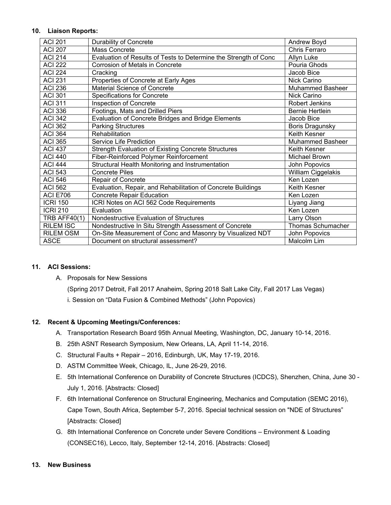#### **10. Liaison Reports:**

| <b>ACI 201</b>      | Durability of Concrete                                           | Andrew Boyd             |
|---------------------|------------------------------------------------------------------|-------------------------|
| <b>ACI 207</b>      | Mass Concrete                                                    | Chris Ferraro           |
| <b>ACI 214</b>      | Evaluation of Results of Tests to Determine the Strength of Conc | Allyn Luke              |
| <b>ACI 222</b>      | Corrosion of Metals in Concrete                                  | Pouria Ghods            |
| <b>ACI 224</b>      | Cracking                                                         | Jacob Bice              |
| <b>ACI 231</b>      | Properties of Concrete at Early Ages                             | Nick Carino             |
| <b>ACI 236</b>      | Material Science of Concrete                                     | <b>Muhammed Basheer</b> |
| <b>ACI 301</b>      | <b>Specifications for Concrete</b>                               | Nick Carino             |
| <b>ACI 311</b>      | Inspection of Concrete                                           | Robert Jenkins          |
| <b>ACI 336</b>      | Footings, Mats and Drilled Piers                                 | <b>Bernie Hertlein</b>  |
| <b>ACI 342</b>      | Evaluation of Concrete Bridges and Bridge Elements               | Jacob Bice              |
| <b>ACI 362</b>      | <b>Parking Structures</b>                                        | <b>Boris Dragunsky</b>  |
| <b>ACI 364</b>      | Rehabilitation                                                   | Keith Kesner            |
| <b>ACI 365</b>      | Service Life Prediction                                          | <b>Muhammed Basheer</b> |
| <b>ACI 437</b>      | Strength Evaluation of Existing Concrete Structures              | Keith Kesner            |
| <b>ACI 440</b>      | Fiber-Reinforced Polymer Reinforcement                           | Michael Brown           |
| <b>ACI 444</b>      | Structural Health Monitoring and Instrumentation                 | John Popovics           |
| <b>ACI 543</b>      | <b>Concrete Piles</b>                                            | William Ciggelakis      |
| <b>ACI 546</b>      | Repair of Concrete                                               | Ken Lozen               |
| <b>ACI 562</b>      | Evaluation, Repair, and Rehabilitation of Concrete Buildings     | Keith Kesner            |
| <b>ACI E706</b>     | Concrete Repair Education                                        | Ken Lozen               |
| <b>ICRI 150</b>     | ICRI Notes on ACI 562 Code Requirements                          | Liyang Jiang            |
| <b>ICRI 210</b>     | Evaluation                                                       | Ken Lozen               |
| <b>TRB AFF40(1)</b> | Nondestructive Evaluation of Structures                          | Larry Olson             |
| <b>RILEM ISC</b>    | Nondestructive In Situ Strength Assessment of Concrete           | Thomas Schumacher       |
| <b>RILEM OSM</b>    | On-Site Measurement of Conc and Masonry by Visualized NDT        | John Popovics           |
| <b>ASCE</b>         | Document on structural assessment?                               | Malcolm Lim             |

## **11. ACI Sessions:**

A. Proposals for New Sessions

(Spring 2017 Detroit, Fall 2017 Anaheim, Spring 2018 Salt Lake City, Fall 2017 Las Vegas)

i. Session on "Data Fusion & Combined Methods" (John Popovics)

## **12. Recent & Upcoming Meetings/Conferences:**

- A. Transportation Research Board 95th Annual Meeting, Washington, DC, January 10-14, 2016.
- B. 25th ASNT Research Symposium, New Orleans, LA, April 11-14, 2016.
- C. Structural Faults + Repair 2016, Edinburgh, UK, May 17-19, 2016.
- D. ASTM Committee Week, Chicago, IL, June 26-29, 2016.
- E. 5th International Conference on Durability of Concrete Structures (ICDCS), Shenzhen, China, June 30 July 1, 2016. [Abstracts: Closed]
- F. 6th International Conference on Structural Engineering, Mechanics and Computation (SEMC 2016), Cape Town, South Africa, September 5-7, 2016. Special technical session on "NDE of Structures" [Abstracts: Closed]
- G. 8th International Conference on Concrete under Severe Conditions Environment & Loading (CONSEC16), Lecco, Italy, September 12-14, 2016. [Abstracts: Closed]

#### **13. New Business**